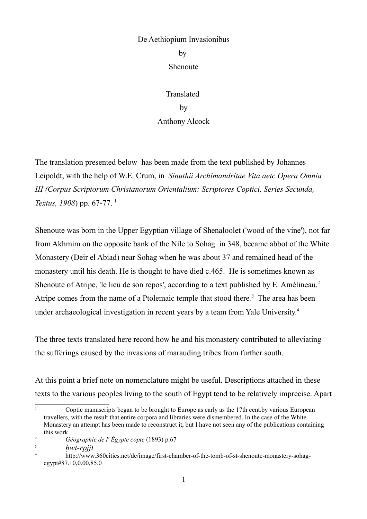# De Aethiopium Invasionibus

by Shenoute

Translated by Anthony Alcock

The translation presented below has been made from the text published by Johannes Leipoldt, with the help of W.E. Crum, in *Sinuthii Archimandritae Vita aetc Opera Omnia III (Corpus Scriptorum Christanorum Orientalium: Scriptores Coptici, Series Secunda, Textus, 1908*) pp. 67-77. <sup>1</sup>

Shenoute was born in the Upper Egyptian village of Shenaloolet ('wood of the vine'), not far from Akhmim on the opposite bank of the Nile to Sohag in 348, became abbot of the White Monastery (Deir el Abiad) near Sohag when he was about 37 and remained head of the monastery until his death. He is thought to have died c.465. He is sometimes known as Shenoute of Atripe, 'le lieu de son repos', according to a text published by E. Amélineau.<sup>2</sup> Atripe comes from the name of a Ptolemaic temple that stood there*. <sup>3</sup>* The area has been under archaeological investigation in recent years by a team from Yale University. 4

The three texts translated here record how he and his monastery contributed to alleviating the sufferings caused by the invasions of marauding tribes from further south.

At this point a brief note on nomenclature might be useful. Descriptions attached in these texts to the various peoples living to the south of Egypt tend to be relatively imprecise. Apart

<sup>&</sup>lt;sup>1</sup> Coptic manuscripts began to be brought to Europe as early as the 17th cent.by various European travellers, with the result that entire corpora and libraries were dismembered. In the case of the White Monastery an attempt has been made to reconstruct it, but I have not seen any of the publications containing this work

<sup>2</sup> *Géographie de l' Égypte copte* (1893) p.67

 $\frac{3}{4}$  *hwt-rpjjt* 

<sup>4</sup> http://www.360cities.net/de/image/first-chamber-of-the-tomb-of-st-shenoute-monastery-sohagegypt#87.10,0.00,85.0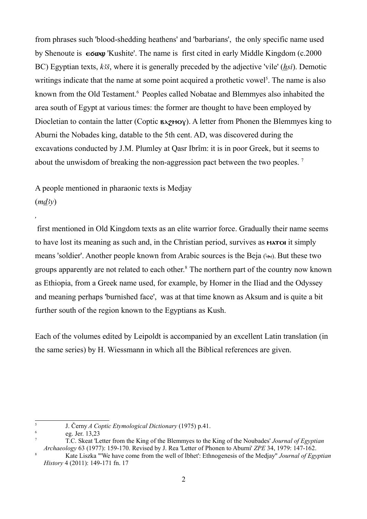from phrases such 'blood-shedding heathens' and 'barbarians', the only specific name used by Shenoute is  $\epsilon \in \epsilon_0$  'Kushite'. The name is first cited in early Middle Kingdom (c. 2000) BC) Egyptian texts,  $k3\tilde{s}$ , where it is generally preceded by the adjective 'vile' *(hsi)*. Demotic writings indicate that the name at some point acquired a prothetic vowel<sup>5</sup>. The name is also known from the Old Testament.<sup>6</sup> Peoples called Nobatae and Blemmyes also inhabited the area south of Egypt at various times: the former are thought to have been employed by Diocletian to contain the latter (Coptic  $\mathbf{82} \cdot \mathbf{29}$  A letter from Phonen the Blemmyes king to Aburni the Nobades king, datable to the 5th cent. AD, was discovered during the excavations conducted by J.M. Plumley at Qasr Ibrîm: it is in poor Greek, but it seems to about the unwisdom of breaking the non-aggression pact between the two peoples. <sup>7</sup>

A people mentioned in pharaonic texts is Medjay  $(m\underline{d}3y)$ 

first mentioned in Old Kingdom texts as an elite warrior force. Gradually their name seems to have lost its meaning as such and, in the Christian period, survives as **MATOI** it simply means 'soldier'. Another people known from Arabic sources is the Beja (بجا). But these two groups apparently are not related to each other. <sup>8</sup> The northern part of the country now known as Ethiopia, from a Greek name used, for example, by Homer in the Iliad and the Odyssey and meaning perhaps 'burnished face', was at that time known as Aksum and is quite a bit further south of the region known to the Egyptians as Kush.

Each of the volumes edited by Leipoldt is accompanied by an excellent Latin translation (in the same series) by H. Wiessmann in which all the Biblical references are given.

5

*,*

J. Černy *A Coptic Etymological Dictionary* (1975) p.41.

<sup>6</sup> eg. Jer. 13,23

<sup>7</sup> T.C. Skeat 'Letter from the King of the Blemmyes to the King of the Noubades' *Journal of Egyptian Archaeology* 63 (1977): 159-170. Revised by J. Rea 'Letter of Phonen to Aburni' *ZPE* 34, 1979: 147-162.

<sup>8</sup> Kate Liszka "'We have come from the well of Ibhet': Ethnogenesis of the Medjay" *Journal of Egyptian History* 4 (2011): 149-171 fn. 17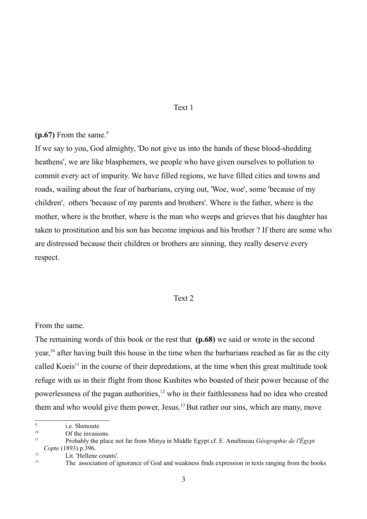### Text 1

# $(p.67)$  From the same.<sup>9</sup>

If we say to you, God almighty, 'Do not give us into the hands of these blood-shedding heathens', we are like blasphemers, we people who have given ourselves to pollution to commit every act of impurity. We have filled regions, we have filled cities and towns and roads, wailing about the fear of barbarians, crying out, 'Woe, woe', some 'because of my children', others 'because of my parents and brothers'. Where is the father, where is the mother, where is the brother, where is the man who weeps and grieves that his daughter has taken to prostitution and his son has become impious and his brother ? If there are some who are distressed because their children or brothers are sinning, they really deserve every respect.

### Text 2

#### From the same.

The remaining words of this book or the rest that **(p.68)** we said or wrote in the second year,<sup>10</sup> after having built this house in the time when the barbarians reached as far as the city called Koeis<sup>11</sup> in the course of their depredations, at the time when this great multitude took refuge with us in their flight from those Kushites who boasted of their power because of the powerlessness of the pagan authorities,<sup>12</sup> who in their faithlessness had no idea who created them and who would give them power, Jesus.<sup>13</sup> But rather our sins, which are many, move

 $\overline{9}$ i.e. Shenoute

<sup>&</sup>lt;sup>10</sup> Of the invasions.

<sup>11</sup> Probably the place not far from Minya in Middle Egypt cf. E. Amélineau *Géographie de l'Égypt*

*Copte* (1893) p.396.

 $12$  Lit. 'Hellene counts'.

<sup>13</sup> The association of ignorance of God and weakness finds expression in texts ranging from the books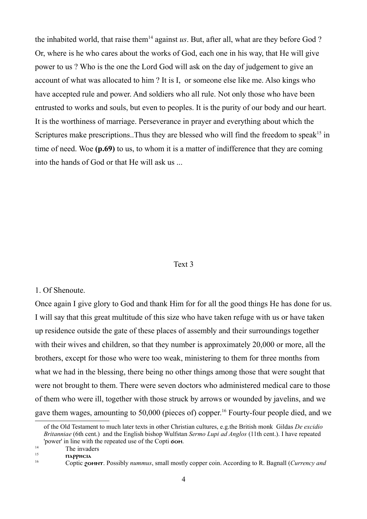the inhabited world, that raise them<sup>14</sup> against *us*. But, after all, what are they before God? Or, where is he who cares about the works of God, each one in his way, that He will give power to us ? Who is the one the Lord God will ask on the day of judgement to give an account of what was allocated to him ? It is I, or someone else like me. Also kings who have accepted rule and power. And soldiers who all rule. Not only those who have been entrusted to works and souls, but even to peoples. It is the purity of our body and our heart. It is the worthiness of marriage. Perseverance in prayer and everything about which the Scriptures make prescriptions. Thus they are blessed who will find the freedom to speak<sup>15</sup> in time of need. Woe **(p.69)** to us, to whom it is a matter of indifference that they are coming into the hands of God or that He will ask us ...

#### Text 3

### 1. Of Shenoute.

Once again I give glory to God and thank Him for for all the good things He has done for us. I will say that this great multitude of this size who have taken refuge with us or have taken up residence outside the gate of these places of assembly and their surroundings together with their wives and children, so that they number is approximately 20,000 or more, all the brothers, except for those who were too weak, ministering to them for three months from what we had in the blessing, there being no other things among those that were sought that were not brought to them. There were seven doctors who administered medical care to those of them who were ill, together with those struck by arrows or wounded by javelins, and we gave them wages, amounting to 50,000 (pieces of) copper. 16 Fourty-four people died, and we

 $\frac{14}{15}$  The invaders

 $15$  **parameter parameter particle** 

of the Old Testament to much later texts in other Christian cultures, e.g.the British monk Gildas *De excidio Britanniae* (6th cent.) and the English bishop Wulfstan *Sermo Lupi ad Anglos* (11th cent.). I have repeated 'power' in line with the repeated use of the Copti  $\sigma$ om.

<sup>16</sup> Coptic xomnt. Possibly *nummus*, small mostly copper coin. According to R. Bagnall (*Currency and*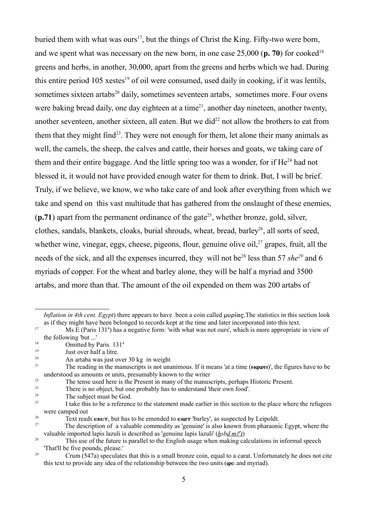buried them with what was ours<sup>17</sup>, but the things of Christ the King. Fifty-two were born, and we spent what was necessary on the new born, in one case 25,000 (**p. 70**) for cooked 18 greens and herbs, in another, 30,000, apart from the greens and herbs which we had. During this entire period 105 xestes<sup>19</sup> of oil were consumed, used daily in cooking, if it was lentils, sometimes sixteen artabs<sup>20</sup> daily, sometimes seventeen artabs, sometimes more. Four ovens were baking bread daily, one day eighteen at a time<sup>21</sup>, another day nineteen, another twenty, another seventeen, another sixteen, all eaten. But we did<sup>22</sup> not allow the brothers to eat from them that they might find<sup>23</sup>. They were not enough for them, let alone their many animals as well, the camels, the sheep, the calves and cattle, their horses and goats, we taking care of them and their entire baggage. And the little spring too was a wonder, for if He<sup>24</sup> had not blessed it, it would not have provided enough water for them to drink. But, I will be brief. Truly, if we believe, we know, we who take care of and look after everything from which we take and spend on this vast multitude that has gathered from the onslaught of these enemies,  $(p.71)$  apart from the permanent ordinance of the gate<sup>25</sup>, whether bronze, gold, silver, clothes, sandals, blankets, cloaks, burial shrouds, wheat, bread, barley 26 , all sorts of seed, whether wine, vinegar, eggs, cheese, pigeons, flour, genuine olive oil, $27$  grapes, fruit, all the needs of the sick, and all the expenses incurred, they will not be<sup>28</sup> less than 57 *she*<sup>29</sup> and 6 myriads of copper. For the wheat and barley alone, they will be half a myriad and 3500 artabs, and more than that. The amount of the oil expended on them was 200 artabs of

- <sup>18</sup> Omitted by Paris 131<sup>4</sup>
- 19 Just over half a litre.

There is no object, but one probably has to understand 'their own food'.

*Inflation in 4th cent. Egypt*) there appears to have been a coin called  $\mu\nu\rho \hat{\alpha} \sigma$ . The statistics in this section look as if they might have been belonged to records kept at the time and later incorporated into this text.

<sup>&</sup>lt;sup>17</sup> Ms E (Paris 131<sup>4</sup>) has a negative form: 'with what was not ours', which is more appropriate in view of the following 'but ...'

<sup>20</sup> An artaba was just over 30 kg in weight

<sup>&</sup>lt;sup>21</sup> The reading in the manuscripts is not unanimous. If it means 'at a time ( $\land$ wwr)', the figures have to be understood as amounts or units, presumably known to the writer

<sup>&</sup>lt;sup>22</sup> The tense used here is the Present in many of the manuscripts, perhaps Historic Present.<br><sup>23</sup> There is no object, but one probably has to understand their own food!

<sup>&</sup>lt;sup>24</sup> The subject must be God.

<sup>25</sup> I take this to be a reference to the statement made earlier in this section to the place where the refugees were camped out

<sup>&</sup>lt;sup>26</sup> Text reads  $\epsilon \kappa \epsilon \tau$ , but has to be emended to  $\epsilon \iota \omega \tau$  'barley', as suspected by Leipoldt.

<sup>27</sup> The description of a valuable commodity as 'genuine' is also known from pharaonic Egypt, where the valuable imported lapis lazuli is described as 'genuine lapis lazuli' (*hsbd m3<sup>c</sup>t*)

<sup>&</sup>lt;sup>28</sup> This use of the future is parallel to the English usage when making calculations in informal speech 'That'll be five pounds, please.'

<sup>&</sup>lt;sup>29</sup> Crum (547a) speculates that this is a small bronze coin, equal to a carat. Unfortunately he does not cite this text to provide any idea of the relationship between the two units ( $\omega \epsilon$  and myriad).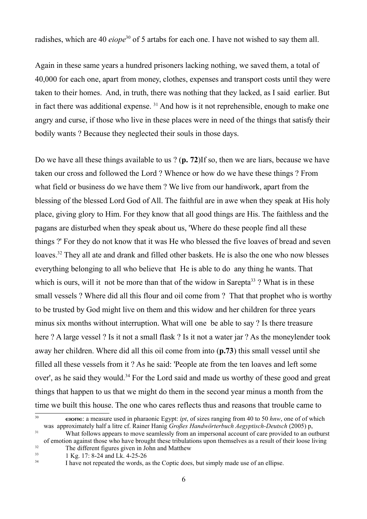radishes, which are 40 *eiope*<sup>30</sup> of 5 artabs for each one. I have not wished to say them all.

Again in these same years a hundred prisoners lacking nothing, we saved them, a total of 40,000 for each one, apart from money, clothes, expenses and transport costs until they were taken to their homes. And, in truth, there was nothing that they lacked, as I said earlier. But in fact there was additional expense.  $31$  And how is it not reprehensible, enough to make one angry and curse, if those who live in these places were in need of the things that satisfy their bodily wants ? Because they neglected their souls in those days.

Do we have all these things available to us ? (**p. 72**)If so, then we are liars, because we have taken our cross and followed the Lord ? Whence or how do we have these things ? From what field or business do we have them ? We live from our handiwork, apart from the blessing of the blessed Lord God of All. The faithful are in awe when they speak at His holy place, giving glory to Him. For they know that all good things are His. The faithless and the pagans are disturbed when they speak about us, 'Where do these people find all these things ?' For they do not know that it was He who blessed the five loaves of bread and seven loaves.<sup>32</sup> They all ate and drank and filled other baskets. He is also the one who now blesses everything belonging to all who believe that He is able to do any thing he wants. That which is ours, will it not be more than that of the widow in Sarepta<sup>33</sup>? What is in these small vessels ? Where did all this flour and oil come from ? That that prophet who is worthy to be trusted by God might live on them and this widow and her children for three years minus six months without interruption. What will one be able to say ? Is there treasure here ? A large vessel ? Is it not a small flask ? Is it not a water jar ? As the moneylender took away her children. Where did all this oil come from into (**p.73**) this small vessel until she filled all these vessels from it ? As he said: 'People ate from the ten loaves and left some over', as he said they would.<sup>34</sup> For the Lord said and made us worthy of these good and great things that happen to us that we might do them in the second year minus a month from the time we built this house. The one who cares reflects thus and reasons that trouble came to

<sup>&</sup>lt;sup>30</sup> **eiorie:** a measure used in pharaonic Egypt: *ipt*, of sizes ranging from 40 to 50 *hnw*, one of of which was approximately half a litre cf. Rainer Hanig *Großes Handwörterbuch Aegyptisch-Deutsch* (2005) p, <sup>31</sup> What follows appears to move seamlessly from an impersonal account of care provided to an outburst

of emotion against those who have brought these tribulations upon themselves as a result of their loose living

<sup>&</sup>lt;sup>32</sup> The different figures given in John and Matthew<br> $\frac{33}{2}$  LKg, 17: 8.24 and Lk, 4.25.26

<sup>33</sup> 1 Kg. 17: 8-24 and Lk. 4-25-26 34

I have not repeated the words, as the Coptic does, but simply made use of an ellipse.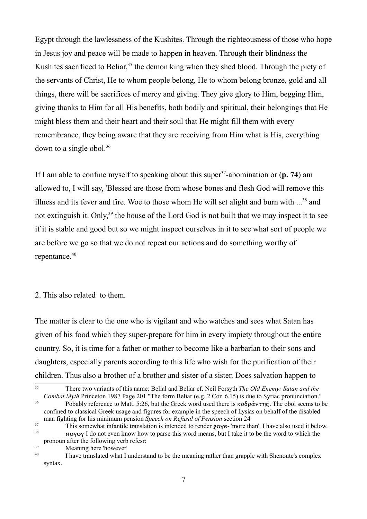Egypt through the lawlessness of the Kushites. Through the righteousness of those who hope in Jesus joy and peace will be made to happen in heaven. Through their blindness the Kushites sacrificed to Beliar,<sup>35</sup> the demon king when they shed blood. Through the piety of the servants of Christ, He to whom people belong, He to whom belong bronze, gold and all things, there will be sacrifices of mercy and giving. They give glory to Him, begging Him, giving thanks to Him for all His benefits, both bodily and spiritual, their belongings that He might bless them and their heart and their soul that He might fill them with every remembrance, they being aware that they are receiving from Him what is His, everything down to a single obol.<sup>36</sup>

If I am able to confine myself to speaking about this super<sup>37</sup>-abomination or  $(p. 74)$  am allowed to, I will say, 'Blessed are those from whose bones and flesh God will remove this illness and its fever and fire. Woe to those whom He will set alight and burn with ...<sup>38</sup> and not extinguish it. Only,<sup>39</sup> the house of the Lord God is not built that we may inspect it to see if it is stable and good but so we might inspect ourselves in it to see what sort of people we are before we go so that we do not repeat our actions and do something worthy of repentance.<sup>40</sup>

## 2. This also related to them.

The matter is clear to the one who is vigilant and who watches and sees what Satan has given of his food which they super-prepare for him in every impiety throughout the entire country. So, it is time for a father or mother to become like a barbarian to their sons and daughters, especially parents according to this life who wish for the purification of their children. Thus also a brother of a brother and sister of a sister. Does salvation happen to

<sup>35</sup> There two variants of this name: Belial and Beliar cf. Neil Forsyth *The Old Enemy: Satan and the Combat Myth* Princeton 1987 Page 201 "The form Beliar (e.g. 2 Cor. 6.15) is due to Syriac pronunciation." <sup>36</sup> Pobably reference to Matt. 5:26, but the Greek word used there is  $\kappa \partial \partial \rho \Delta \nu \tau \eta \zeta$ . The obol seems to be confined to classical Greek usage and figures for example in the speech of Lysias on behalf of the disabled

man fighting for his minimum pension *Speech on Refusal of Pension* section 24

This somewhat infantile translation is intended to render  $20\%$  - 'more than'. I have also used it below.  $\bf{1}$  Novoy I do not even know how to parse this word means, but I take it to be the word to which the pronoun after the following verb refesr:

<sup>39</sup> Meaning here 'however'

<sup>40</sup> I have translated what I understand to be the meaning rather than grapple with Shenoute's complex syntax.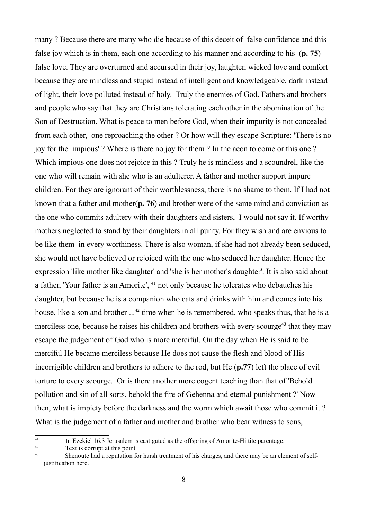many ? Because there are many who die because of this deceit of false confidence and this false joy which is in them, each one according to his manner and according to his (**p. 75**) false love. They are overturned and accursed in their joy, laughter, wicked love and comfort because they are mindless and stupid instead of intelligent and knowledgeable, dark instead of light, their love polluted instead of holy. Truly the enemies of God. Fathers and brothers and people who say that they are Christians tolerating each other in the abomination of the Son of Destruction. What is peace to men before God, when their impurity is not concealed from each other, one reproaching the other ? Or how will they escape Scripture: 'There is no joy for the impious' ? Where is there no joy for them ? In the aeon to come or this one ? Which impious one does not rejoice in this ? Truly he is mindless and a scoundrel, like the one who will remain with she who is an adulterer. A father and mother support impure children. For they are ignorant of their worthlessness, there is no shame to them. If I had not known that a father and mother(**p. 76**) and brother were of the same mind and conviction as the one who commits adultery with their daughters and sisters, I would not say it. If worthy mothers neglected to stand by their daughters in all purity. For they wish and are envious to be like them in every worthiness. There is also woman, if she had not already been seduced, she would not have believed or rejoiced with the one who seduced her daughter. Hence the expression 'like mother like daughter' and 'she is her mother's daughter'. It is also said about a father, 'Your father is an Amorite', <sup>41</sup> not only because he tolerates who debauches his daughter, but because he is a companion who eats and drinks with him and comes into his house, like a son and brother ...<sup>42</sup> time when he is remembered. who speaks thus, that he is a merciless one, because he raises his children and brothers with every scourge<sup>43</sup> that they may escape the judgement of God who is more merciful. On the day when He is said to be merciful He became merciless because He does not cause the flesh and blood of His incorrigible children and brothers to adhere to the rod, but He (**p.77**) left the place of evil torture to every scourge. Or is there another more cogent teaching than that of 'Behold pollution and sin of all sorts, behold the fire of Gehenna and eternal punishment ?' Now then, what is impiety before the darkness and the worm which await those who commit it ? What is the judgement of a father and mother and brother who bear witness to sons,

<sup>42</sup> Text is corrupt at this point

<sup>41</sup> In Ezekiel 16,3 Jerusalem is castigated as the offspring of Amorite-Hittite parentage.

<sup>43</sup> Shenoute had a reputation for harsh treatment of his charges, and there may be an element of selfjustification here.